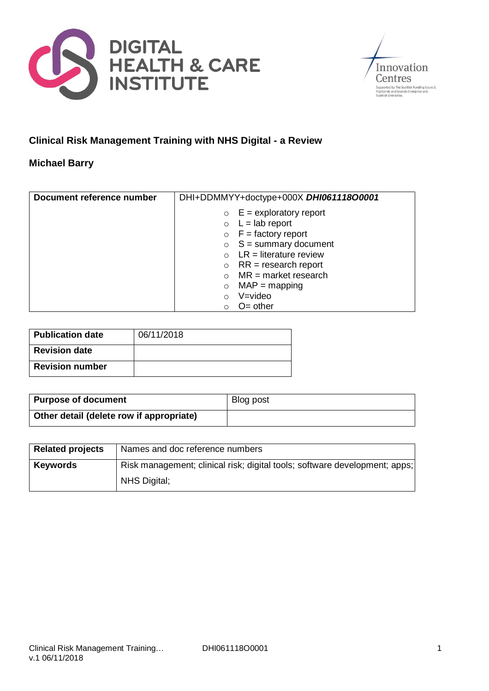



# **Clinical Risk Management Training with NHS Digital - a Review**

#### **Michael Barry**

| Document reference number | DHI+DDMMYY+doctype+000X DHI061118O0001 |
|---------------------------|----------------------------------------|
|                           | $\circ$ E = exploratory report         |
|                           | $\circ$ L = lab report                 |
|                           | $\circ$ F = factory report             |
|                           | $S =$ summary document<br>$\circ$      |
|                           | $LR = literature$ review               |
|                           | $RR = research report$<br>$\circ$      |
|                           | $MR = market research$                 |
|                           | $MAP = mapping$<br>$\circ$             |
|                           | V=video<br>$\Omega$                    |
|                           | $O=$ other                             |

| <b>Publication date</b> | 06/11/2018 |
|-------------------------|------------|
| <b>Revision date</b>    |            |
| <b>Revision number</b>  |            |

| <b>Purpose of document</b>               | Blog post |
|------------------------------------------|-----------|
| Other detail (delete row if appropriate) |           |

| <b>Related projects</b> | Names and doc reference numbers                                            |
|-------------------------|----------------------------------------------------------------------------|
| <b>Keywords</b>         | Risk management; clinical risk; digital tools; software development; apps; |
|                         | <b>NHS Digital:</b>                                                        |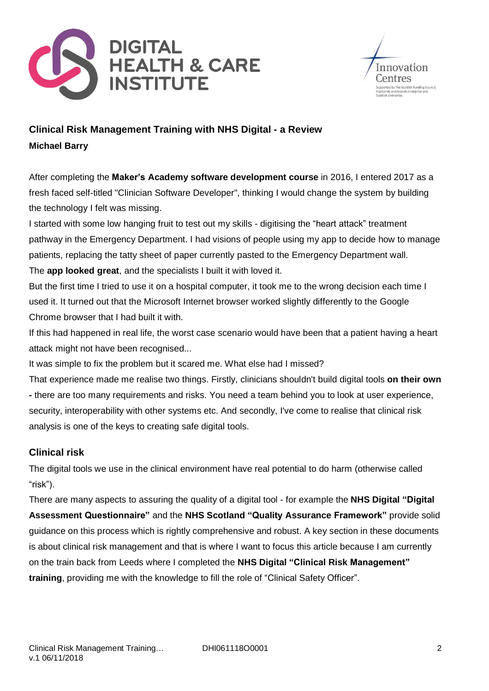



# **Clinical Risk Management Training with NHS Digital - a Review Michael Barry**

After completing the **Maker's Academy software [development](https://makers.tech/) course** in 2016, I entered 2017 as a fresh faced self-titled "Clinician Software Developer", thinking I would change the system by building the technology I felt was missing.

I started with some low hanging fruit to test out my skills - digitising the "heart attack" treatment pathway in the Emergency Department. I had visions of people using my app to decide how to manage patients, replacing the tatty sheet of paper currently pasted to the Emergency Department wall. The **app [looked](https://highsteacs.com/) great**, and the specialists I built it with loved it.

But the first time I tried to use it on a hospital computer, it took me to the wrong decision each time I used it. It turned out that the Microsoft Internet browser worked slightly differently to the Google Chrome browser that I had built it with.

If this had happened in real life, the worst case scenario would have been that a patient having a heart attack might not have been recognised...

It was simple to fix the problem but it scared me. What else had I missed?

That experience made me realise two things. Firstly, clinicians shouldn't build digital tools **on their own -** there are too many requirements and risks. You need a team behind you to look at user experience, security, interoperability with other systems etc. And secondly, I've come to realise that clinical risk analysis is one of the keys to creating safe digital tools.

### **Clinical risk**

The digital tools we use in the clinical environment have real potential to do harm (otherwise called "risk").

There are many aspects to assuring the quality of a digital tool - for example the **NHS Digital ["Digital](https://developer.nhs.uk/digital-tools/daq/) Assessment [Questionnaire"](https://developer.nhs.uk/digital-tools/daq/)** and the **NHS Scotland "Quality Assurance [Framework"](http://rightdecision.scot.nhs.uk/build)** provide solid guidance on this process which is rightly comprehensive and robust. A key section in these documents is about clinical risk management and that is where I want to focus this article because I am currently on the train back from Leeds where I completed the **NHS Digital "Clinical Risk [Management"](https://digital.nhs.uk/services/solution-assurance/the-clinical-safety-team/clinical-risk-management-training) [training](https://digital.nhs.uk/services/solution-assurance/the-clinical-safety-team/clinical-risk-management-training)**, providing me with the knowledge to fill the role of "Clinical Safety Officer".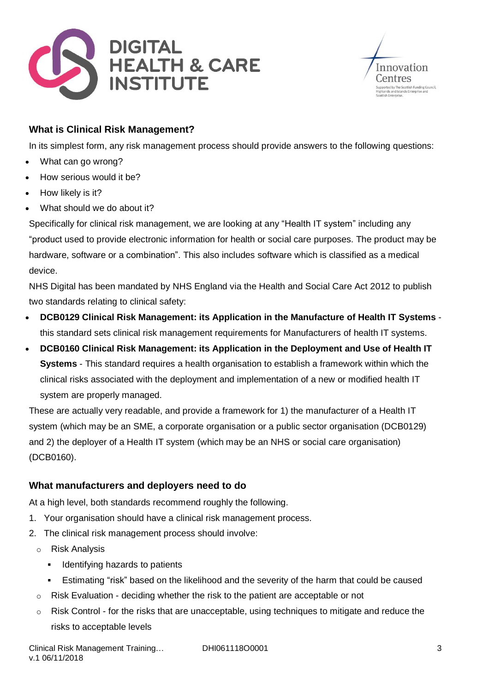



# **What is Clinical Risk Management?**

In its simplest form, any risk management process should provide answers to the following questions:

- What can go wrong?
- How serious would it be?
- How likely is it?
- What should we do about it?

Specifically for clinical risk management, we are looking at any "Health IT system" including any "product used to provide electronic information for health or social care purposes. The product may be hardware, software or a combination". This also includes software which is classified as a medical device.

NHS Digital has been mandated by NHS England via the Health and Social Care Act 2012 to publish two standards relating to clinical safety:

- **DCB0129 Clinical Risk [Management:](https://digital.nhs.uk/data-and-information/information-standards/information-standards-and-data-collections-including-extractions/publications-and-notifications/standards-and-collections/dcb0129-clinical-risk-management-its-application-in-the-manufacture-of-health-it-systems) its Application in the Manufacture of Health IT Systems** this standard sets clinical risk management requirements for Manufacturers of health IT systems.
- **DCB0160 Clinical Risk [Management:](https://digital.nhs.uk/data-and-information/information-standards/information-standards-and-data-collections-including-extractions/publications-and-notifications/standards-and-collections/dcb0160-clinical-risk-management-its-application-in-the-deployment-and-use-of-health-it-systems) its Application in the Deployment and Use of Health IT [Systems](https://digital.nhs.uk/data-and-information/information-standards/information-standards-and-data-collections-including-extractions/publications-and-notifications/standards-and-collections/dcb0160-clinical-risk-management-its-application-in-the-deployment-and-use-of-health-it-systems)** - This standard requires a health organisation to establish a framework within which the clinical risks associated with the deployment and implementation of a new or modified health IT system are properly managed.

These are actually very readable, and provide a framework for 1) the manufacturer of a Health IT system (which may be an SME, a corporate organisation or a public sector organisation (DCB0129) and 2) the deployer of a Health IT system (which may be an NHS or social care organisation) (DCB0160).

### **What manufacturers and deployers need to do**

At a high level, both standards recommend roughly the following.

- 1. Your organisation should have a clinical risk management process.
- 2. The clinical risk management process should involve:
	- o Risk Analysis
		- **EXEC** Identifying hazards to patients
		- **E** Estimating "risk" based on the likelihood and the severity of the harm that could be caused
	- $\circ$  Risk Evaluation deciding whether the risk to the patient are acceptable or not
	- o Risk Control for the risks that are unacceptable, using techniques to mitigate and reduce the risks to acceptable levels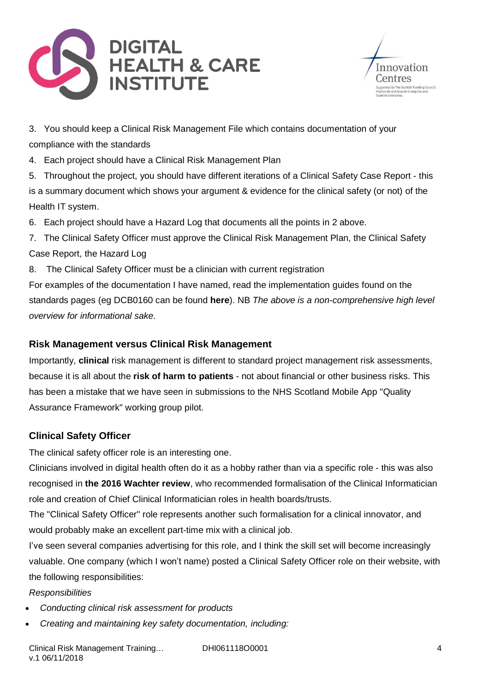



3. You should keep a Clinical Risk Management File which contains documentation of your compliance with the standards

4. Each project should have a Clinical Risk Management Plan

5. Throughout the project, you should have different iterations of a Clinical Safety Case Report - this is a summary document which shows your argument & evidence for the clinical safety (or not) of the Health IT system.

6. Each project should have a Hazard Log that documents all the points in 2 above.

7. The Clinical Safety Officer must approve the Clinical Risk Management Plan, the Clinical Safety Case Report, the Hazard Log

8. The Clinical Safety Officer must be a clinician with current registration

For examples of the documentation I have named, read the implementation guides found on the standards pages (eg DCB0160 can be found **[here](https://digital.nhs.uk/data-and-information/information-standards/information-standards-and-data-collections-including-extractions/publications-and-notifications/standards-and-collections/dcb0160-clinical-risk-management-its-application-in-the-deployment-and-use-of-health-it-systems)**). NB *The above is a non-comprehensive high level overview for informational sake.*

### **Risk Management versus Clinical Risk Management**

Importantly, **clinical** risk management is different to standard project management risk assessments, because it is all about the **risk of harm to patients** - not about financial or other business risks. This has been a mistake that we have seen in submissions to the NHS Scotland Mobile App "Quality Assurance Framework" working group pilot.

### **Clinical Safety Officer**

The clinical safety officer role is an interesting one.

Clinicians involved in digital health often do it as a hobby rather than via a specific role - this was also recognised in **the 2016 [Wachter](https://www.gov.uk/government/publications/using-information-technology-to-improve-the-nhs) review**, who recommended formalisation of the Clinical Informatician role and creation of Chief Clinical Informatician roles in health boards/trusts.

The "Clinical Safety Officer" role represents another such formalisation for a clinical innovator, and would probably make an excellent part-time mix with a clinical job.

I've seen several companies advertising for this role, and I think the skill set will become increasingly valuable. One company (which I won't name) posted a Clinical Safety Officer role on their website, with the following responsibilities:

*Responsibilities*

- *Conducting clinical risk assessment for products*
- *Creating and maintaining key safety documentation, including:*